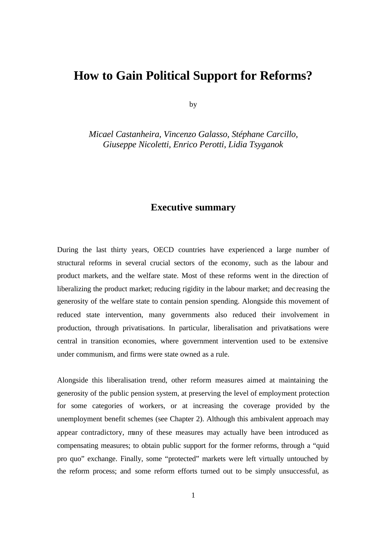## **How to Gain Political Support for Reforms?**

by

*Micael Castanheira, Vincenzo Galasso, Stéphane Carcillo, Giuseppe Nicoletti, Enrico Perotti, Lidia Tsyganok*

## **Executive summary**

During the last thirty years, OECD countries have experienced a large number of structural reforms in several crucial sectors of the economy, such as the labour and product markets, and the welfare state. Most of these reforms went in the direction of liberalizing the product market; reducing rigidity in the labour market; and dec reasing the generosity of the welfare state to contain pension spending. Alongside this movement of reduced state intervention, many governments also reduced their involvement in production, through privatisations. In particular, liberalisation and privatisations were central in transition economies, where government intervention used to be extensive under communism, and firms were state owned as a rule.

Alongside this liberalisation trend, other reform measures aimed at maintaining the generosity of the public pension system, at preserving the level of employment protection for some categories of workers, or at increasing the coverage provided by the unemployment benefit schemes (see Chapter 2). Although this ambivalent approach may appear contradictory, many of these measures may actually have been introduced as compensating measures; to obtain public support for the former reforms, through a "quid pro quo" exchange. Finally, some "protected" markets were left virtually untouched by the reform process; and some reform efforts turned out to be simply unsuccessful, as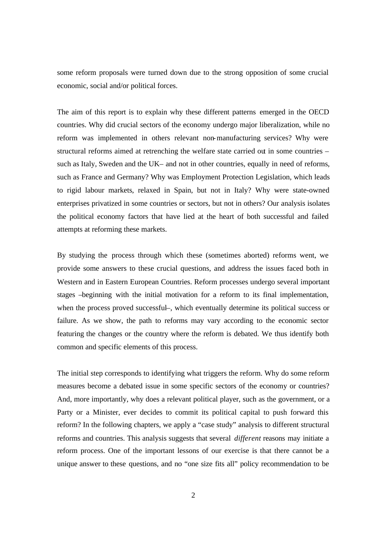some reform proposals were turned down due to the strong opposition of some crucial economic, social and/or political forces.

The aim of this report is to explain why these different patterns emerged in the OECD countries. Why did crucial sectors of the economy undergo major liberalization, while no reform was implemented in others relevant non-manufacturing services? Why were structural reforms aimed at retrenching the welfare state carried out in some countries – such as Italy, Sweden and the UK– and not in other countries, equally in need of reforms, such as France and Germany? Why was Employment Protection Legislation, which leads to rigid labour markets, relaxed in Spain, but not in Italy? Why were state-owned enterprises privatized in some countries or sectors, but not in others? Our analysis isolates the political economy factors that have lied at the heart of both successful and failed attempts at reforming these markets.

By studying the process through which these (sometimes aborted) reforms went, we provide some answers to these crucial questions, and address the issues faced both in Western and in Eastern European Countries. Reform processes undergo several important stages –beginning with the initial motivation for a reform to its final implementation, when the process proved successful–, which eventually determine its political success or failure. As we show, the path to reforms may vary according to the economic sector featuring the changes or the country where the reform is debated. We thus identify both common and specific elements of this process.

The initial step corresponds to identifying what triggers the reform. Why do some reform measures become a debated issue in some specific sectors of the economy or countries? And, more importantly, why does a relevant political player, such as the government, or a Party or a Minister, ever decides to commit its political capital to push forward this reform? In the following chapters, we apply a "case study" analysis to different structural reforms and countries. This analysis suggests that several *different* reasons may initiate a reform process. One of the important lessons of our exercise is that there cannot be a unique answer to these questions, and no "one size fits all" policy recommendation to be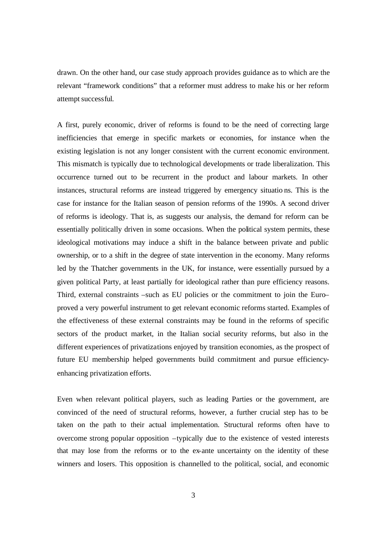drawn. On the other hand, our case study approach provides guidance as to which are the relevant "framework conditions" that a reformer must address to make his or her reform attempt successful.

A first, purely economic, driver of reforms is found to be the need of correcting large inefficiencies that emerge in specific markets or economies, for instance when the existing legislation is not any longer consistent with the current economic environment. This mismatch is typically due to technological developments or trade liberalization. This occurrence turned out to be recurrent in the product and labour markets. In other instances, structural reforms are instead triggered by emergency situatio ns. This is the case for instance for the Italian season of pension reforms of the 1990s. A second driver of reforms is ideology. That is, as suggests our analysis, the demand for reform can be essentially politically driven in some occasions. When the political system permits, these ideological motivations may induce a shift in the balance between private and public ownership, or to a shift in the degree of state intervention in the economy. Many reforms led by the Thatcher governments in the UK, for instance, were essentially pursued by a given political Party, at least partially for ideological rather than pure efficiency reasons. Third, external constraints –such as EU policies or the commitment to join the Euro– proved a very powerful instrument to get relevant economic reforms started. Examples of the effectiveness of these external constraints may be found in the reforms of specific sectors of the product market, in the Italian social security reforms, but also in the different experiences of privatizations enjoyed by transition economies, as the prospect of future EU membership helped governments build commitment and pursue efficiencyenhancing privatization efforts.

Even when relevant political players, such as leading Parties or the government, are convinced of the need of structural reforms, however, a further crucial step has to be taken on the path to their actual implementation. Structural reforms often have to overcome strong popular opposition –typically due to the existence of vested interests that may lose from the reforms or to the ex-ante uncertainty on the identity of these winners and losers. This opposition is channelled to the political, social, and economic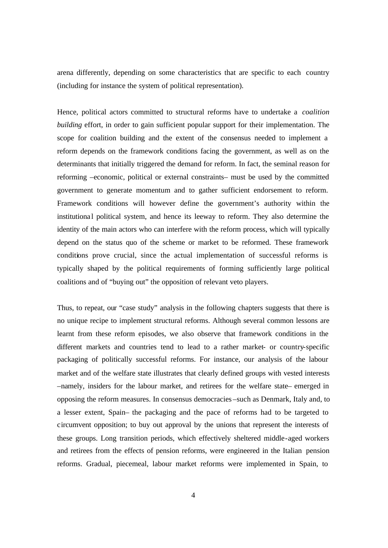arena differently, depending on some characteristics that are specific to each country (including for instance the system of political representation).

Hence, political actors committed to structural reforms have to undertake a *coalition building* effort, in order to gain sufficient popular support for their implementation. The scope for coalition building and the extent of the consensus needed to implement a reform depends on the framework conditions facing the government, as well as on the determinants that initially triggered the demand for reform. In fact, the seminal reason for reforming –economic, political or external constraints– must be used by the committed government to generate momentum and to gather sufficient endorsement to reform. Framework conditions will however define the government's authority within the institutional political system, and hence its leeway to reform. They also determine the identity of the main actors who can interfere with the reform process, which will typically depend on the status quo of the scheme or market to be reformed. These framework conditions prove crucial, since the actual implementation of successful reforms is typically shaped by the political requirements of forming sufficiently large political coalitions and of "buying out" the opposition of relevant veto players.

Thus, to repeat, our "case study" analysis in the following chapters suggests that there is no unique recipe to implement structural reforms. Although several common lessons are learnt from these reform episodes, we also observe that framework conditions in the different markets and countries tend to lead to a rather market- or country-specific packaging of politically successful reforms. For instance, our analysis of the labour market and of the welfare state illustrates that clearly defined groups with vested interests –namely, insiders for the labour market, and retirees for the welfare state– emerged in opposing the reform measures. In consensus democracies –such as Denmark, Italy and, to a lesser extent, Spain– the packaging and the pace of reforms had to be targeted to circumvent opposition; to buy out approval by the unions that represent the interests of these groups. Long transition periods, which effectively sheltered middle-aged workers and retirees from the effects of pension reforms, were engineered in the Italian pension reforms. Gradual, piecemeal, labour market reforms were implemented in Spain, to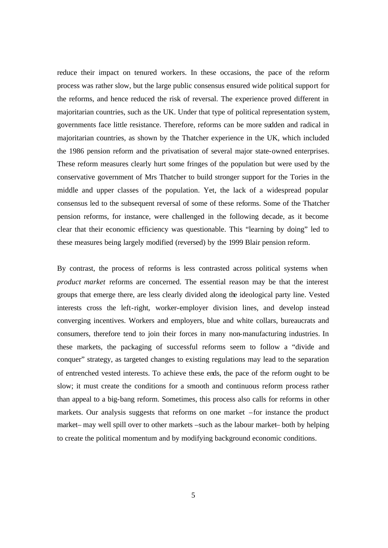reduce their impact on tenured workers. In these occasions, the pace of the reform process was rather slow, but the large public consensus ensured wide political support for the reforms, and hence reduced the risk of reversal. The experience proved different in majoritarian countries, such as the UK. Under that type of political representation system, governments face little resistance. Therefore, reforms can be more sudden and radical in majoritarian countries, as shown by the Thatcher experience in the UK, which included the 1986 pension reform and the privatisation of several major state-owned enterprises. These reform measures clearly hurt some fringes of the population but were used by the conservative government of Mrs Thatcher to build stronger support for the Tories in the middle and upper classes of the population. Yet, the lack of a widespread popular consensus led to the subsequent reversal of some of these reforms. Some of the Thatcher pension reforms, for instance, were challenged in the following decade, as it become clear that their economic efficiency was questionable. This "learning by doing" led to these measures being largely modified (reversed) by the 1999 Blair pension reform.

By contrast, the process of reforms is less contrasted across political systems when *product market* reforms are concerned. The essential reason may be that the interest groups that emerge there, are less clearly divided along the ideological party line. Vested interests cross the left-right, worker-employer division lines, and develop instead converging incentives. Workers and employers, blue and white collars, bureaucrats and consumers, therefore tend to join their forces in many non-manufacturing industries. In these markets, the packaging of successful reforms seem to follow a "divide and conquer" strategy, as targeted changes to existing regulations may lead to the separation of entrenched vested interests. To achieve these ends, the pace of the reform ought to be slow; it must create the conditions for a smooth and continuous reform process rather than appeal to a big-bang reform. Sometimes, this process also calls for reforms in other markets. Our analysis suggests that reforms on one market –for instance the product market– may well spill over to other markets –such as the labour market– both by helping to create the political momentum and by modifying background economic conditions.